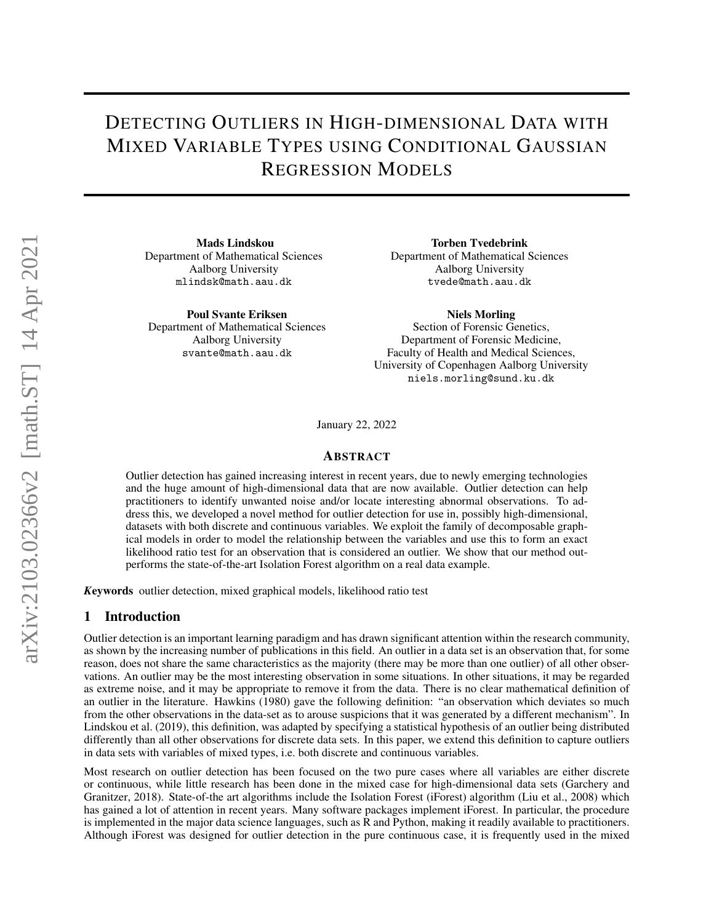# DETECTING OUTLIERS IN HIGH-DIMENSIONAL DATA WITH MIXED VARIABLE TYPES USING CONDITIONAL GAUSSIAN REGRESSION MODELS

Mads Lindskou Department of Mathematical Sciences Aalborg University mlindsk@math.aau.dk

Poul Svante Eriksen Department of Mathematical Sciences Aalborg University svante@math.aau.dk

Torben Tvedebrink Department of Mathematical Sciences Aalborg University tvede@math.aau.dk

Niels Morling

Section of Forensic Genetics, Department of Forensic Medicine, Faculty of Health and Medical Sciences, University of Copenhagen Aalborg University niels.morling@sund.ku.dk

January 22, 2022

## ABSTRACT

Outlier detection has gained increasing interest in recent years, due to newly emerging technologies and the huge amount of high-dimensional data that are now available. Outlier detection can help practitioners to identify unwanted noise and/or locate interesting abnormal observations. To address this, we developed a novel method for outlier detection for use in, possibly high-dimensional, datasets with both discrete and continuous variables. We exploit the family of decomposable graphical models in order to model the relationship between the variables and use this to form an exact likelihood ratio test for an observation that is considered an outlier. We show that our method outperforms the state-of-the-art Isolation Forest algorithm on a real data example.

*K*eywords outlier detection, mixed graphical models, likelihood ratio test

## 1 Introduction

Outlier detection is an important learning paradigm and has drawn significant attention within the research community, as shown by the increasing number of publications in this field. An outlier in a data set is an observation that, for some reason, does not share the same characteristics as the majority (there may be more than one outlier) of all other observations. An outlier may be the most interesting observation in some situations. In other situations, it may be regarded as extreme noise, and it may be appropriate to remove it from the data. There is no clear mathematical definition of an outlier in the literature. [Hawkins](#page-13-0) [\(1980\)](#page-13-0) gave the following definition: "an observation which deviates so much from the other observations in the data-set as to arouse suspicions that it was generated by a different mechanism". In [Lindskou et al.](#page-13-1) [\(2019\)](#page-13-1), this definition, was adapted by specifying a statistical hypothesis of an outlier being distributed differently than all other observations for discrete data sets. In this paper, we extend this definition to capture outliers in data sets with variables of mixed types, i.e. both discrete and continuous variables.

Most research on outlier detection has been focused on the two pure cases where all variables are either discrete or continuous, while little research has been done in the mixed case for high-dimensional data sets [\(Garchery and](#page-13-2) [Granitzer,](#page-13-2) [2018\)](#page-13-2). State-of-the art algorithms include the Isolation Forest (iForest) algorithm [\(Liu et al.,](#page-13-3) [2008\)](#page-13-3) which has gained a lot of attention in recent years. Many software packages implement iForest. In particular, the procedure is implemented in the major data science languages, such as R and Python, making it readily available to practitioners. Although iForest was designed for outlier detection in the pure continuous case, it is frequently used in the mixed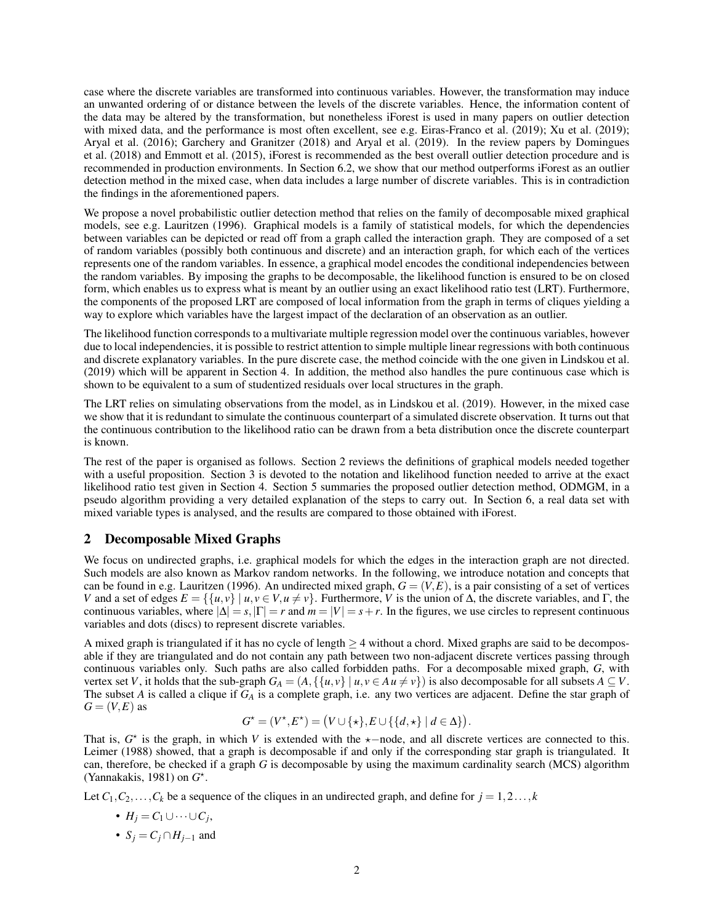case where the discrete variables are transformed into continuous variables. However, the transformation may induce an unwanted ordering of or distance between the levels of the discrete variables. Hence, the information content of the data may be altered by the transformation, but nonetheless iForest is used in many papers on outlier detection with mixed data, and the performance is most often excellent, see e.g. [Eiras-Franco et al.](#page-12-0) [\(2019\)](#page-13-4); [Xu et al.](#page-13-4) (2019); [Aryal et al.](#page-12-1) [\(2016\)](#page-12-1); [Garchery and Granitzer](#page-13-2) [\(2018\)](#page-13-2) and [Aryal et al.](#page-12-2) [\(2019\)](#page-12-2). In the review papers by [Domingues](#page-12-3) [et al.](#page-12-3) [\(2018\)](#page-12-3) and [Emmott et al.](#page-13-5) [\(2015\)](#page-13-5), iForest is recommended as the best overall outlier detection procedure and is recommended in production environments. In Section [6.2,](#page-9-0) we show that our method outperforms iForest as an outlier detection method in the mixed case, when data includes a large number of discrete variables. This is in contradiction the findings in the aforementioned papers.

We propose a novel probabilistic outlier detection method that relies on the family of decomposable mixed graphical models, see e.g. [Lauritzen](#page-13-6) [\(1996\)](#page-13-6). Graphical models is a family of statistical models, for which the dependencies between variables can be depicted or read off from a graph called the interaction graph. They are composed of a set of random variables (possibly both continuous and discrete) and an interaction graph, for which each of the vertices represents one of the random variables. In essence, a graphical model encodes the conditional independencies between the random variables. By imposing the graphs to be decomposable, the likelihood function is ensured to be on closed form, which enables us to express what is meant by an outlier using an exact likelihood ratio test (LRT). Furthermore, the components of the proposed LRT are composed of local information from the graph in terms of cliques yielding a way to explore which variables have the largest impact of the declaration of an observation as an outlier.

The likelihood function corresponds to a multivariate multiple regression model over the continuous variables, however due to local independencies, it is possible to restrict attention to simple multiple linear regressions with both continuous and discrete explanatory variables. In the pure discrete case, the method coincide with the one given in [Lindskou et al.](#page-13-1) [\(2019\)](#page-13-1) which will be apparent in Section [4.](#page-4-0) In addition, the method also handles the pure continuous case which is shown to be equivalent to a sum of studentized residuals over local structures in the graph.

The LRT relies on simulating observations from the model, as in [Lindskou et al.](#page-13-1) [\(2019\)](#page-13-1). However, in the mixed case we show that it is redundant to simulate the continuous counterpart of a simulated discrete observation. It turns out that the continuous contribution to the likelihood ratio can be drawn from a beta distribution once the discrete counterpart is known.

The rest of the paper is organised as follows. Section [2](#page-1-0) reviews the definitions of graphical models needed together with a useful proposition. Section [3](#page-2-0) is devoted to the notation and likelihood function needed to arrive at the exact likelihood ratio test given in Section [4.](#page-4-0) Section [5](#page-6-0) summaries the proposed outlier detection method, ODMGM, in a pseudo algorithm providing a very detailed explanation of the steps to carry out. In Section [6,](#page-7-0) a real data set with mixed variable types is analysed, and the results are compared to those obtained with iForest.

## <span id="page-1-0"></span>2 Decomposable Mixed Graphs

We focus on undirected graphs, i.e. graphical models for which the edges in the interaction graph are not directed. Such models are also known as Markov random networks. In the following, we introduce notation and concepts that can be found in e.g. [Lauritzen](#page-13-6) [\(1996\)](#page-13-6). An undirected mixed graph,  $G = (V, E)$ , is a pair consisting of a set of vertices *V* and a set of edges  $E = \{ \{u, v\} \mid u, v \in V, u \neq v \}$ . Furthermore, *V* is the union of  $\Delta$ , the discrete variables, and Γ, the continuous variables, where  $|\Delta| = s$ ,  $|\Gamma| = r$  and  $m = |V| = s + r$ . In the figures, we use circles to represent continuous variables and dots (discs) to represent discrete variables.

A mixed graph is triangulated if it has no cycle of length  $>$  4 without a chord. Mixed graphs are said to be decomposable if they are triangulated and do not contain any path between two non-adjacent discrete vertices passing through continuous variables only. Such paths are also called forbidden paths. For a decomposable mixed graph, *G*, with vertex set *V*, it holds that the sub-graph  $G_A = (A, \{ \{u, v\} \mid u, v \in Au \neq v \})$  is also decomposable for all subsets  $A \subseteq V$ . The subset *A* is called a clique if  $G_A$  is a complete graph, i.e. any two vertices are adjacent. Define the star graph of  $G = (V, E)$  as

$$
G^{\star} = (V^{\star}, E^{\star}) = (V \cup \{\star\}, E \cup \{\{d, \star\} \mid d \in \Delta\}).
$$

That is,  $G^*$  is the graph, in which *V* is extended with the  $\star$ −node, and all discrete vertices are connected to this. [Leimer](#page-13-7) [\(1988\)](#page-13-7) showed, that a graph is decomposable if and only if the corresponding star graph is triangulated. It can, therefore, be checked if a graph *G* is decomposable by using the maximum cardinality search (MCS) algorithm [\(Yannakakis,](#page-13-8) [1981\)](#page-13-8) on  $G^*$ .

Let  $C_1, C_2, \ldots, C_k$  be a sequence of the cliques in an undirected graph, and define for  $j = 1, 2, \ldots, k$ 

- $\bullet$  *H<sub>j</sub>* = *C*<sub>1</sub>∪ ···∪ *C<sub>j</sub>*,
- $S_i = C_i \cap H_{i-1}$  and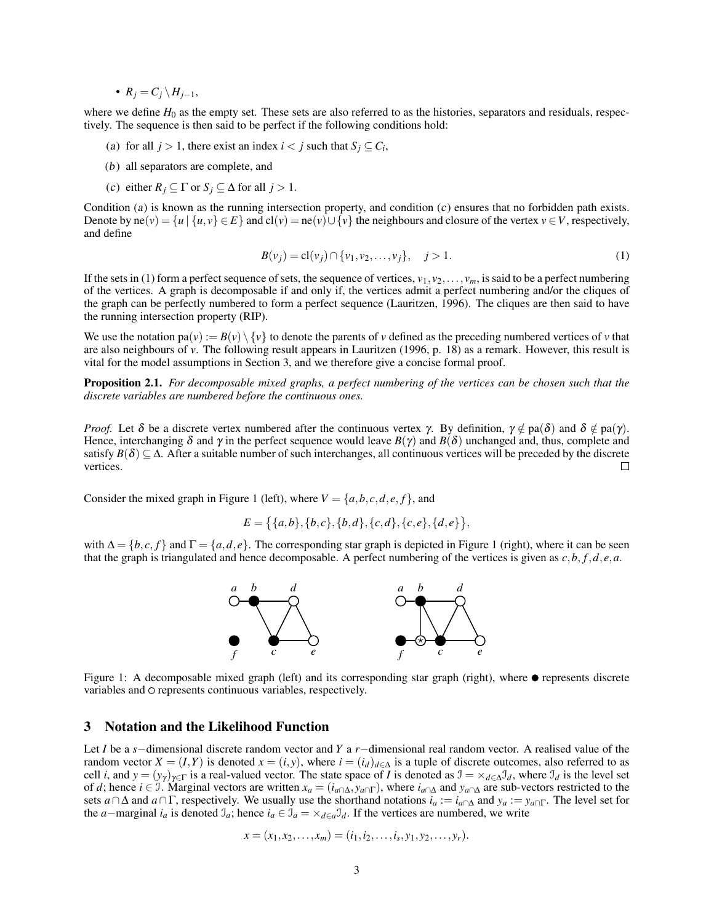•  $R_i = C_i \setminus H_{i-1}$ ,

where we define  $H_0$  as the empty set. These sets are also referred to as the histories, separators and residuals, respectively. The sequence is then said to be perfect if the following conditions hold:

- <span id="page-2-1"></span>(a) for all  $j > 1$ , there exist an index  $i < j$  such that  $S_j \subseteq C_i$ ,
- (b) all separators are complete, and
- <span id="page-2-2"></span>(c) either  $R_j \subseteq \Gamma$  or  $S_j \subseteq \Delta$  for all  $j > 1$ .

Condition ([a](#page-2-1)) is known as the running interse[c](#page-2-2)tion property, and condition  $(c)$  ensures that no forbidden path exists. Denote by ne(*v*) =  $\{u \mid \{u, v\} \in E\}$  and cl(*v*) = ne(*v*)∪ $\{v\}$  the neighbours and closure of the vertex *v* ∈ *V*, respectively, and define

<span id="page-2-3"></span>
$$
B(v_j) = \mathbf{cl}(v_j) \cap \{v_1, v_2, \dots, v_j\}, \quad j > 1.
$$
 (1)

If the sets in [\(1\)](#page-2-3) form a perfect sequence of sets, the sequence of vertices,  $v_1, v_2, \ldots, v_m$ , is said to be a perfect numbering of the vertices. A graph is decomposable if and only if, the vertices admit a perfect numbering and/or the cliques of the graph can be perfectly numbered to form a perfect sequence [\(Lauritzen,](#page-13-6) [1996\)](#page-13-6). The cliques are then said to have the running intersection property (RIP).

We use the notation  $pa(v) := B(v) \setminus \{v\}$  to denote the parents of *v* defined as the preceding numbered vertices of *v* that are also neighbours of *v*. The following result appears in [Lauritzen](#page-13-6) [\(1996,](#page-13-6) p. 18) as a remark. However, this result is vital for the model assumptions in Section [3,](#page-2-0) and we therefore give a concise formal proof.

<span id="page-2-5"></span>Proposition 2.1. *For decomposable mixed graphs, a perfect numbering of the vertices can be chosen such that the discrete variables are numbered before the continuous ones.*

*Proof.* Let  $\delta$  be a discrete vertex numbered after the continuous vertex  $\gamma$ . By definition,  $\gamma \notin pa(\delta)$  and  $\delta \notin pa(\gamma)$ . Hence, interchanging  $\delta$  and  $\gamma$  in the perfect sequence would leave  $B(\gamma)$  and  $B(\delta)$  unchanged and, thus, complete and satisfy  $B(\delta) \subseteq \Delta$ . After a suitable number of such interchanges, all continuous vertices will be preceded by the discrete vertices.  $\Box$ 

Consider the mixed graph in Figure [1](#page-2-4) (left), where  $V = \{a, b, c, d, e, f\}$ , and

$$
E = \{ \{a,b\}, \{b,c\}, \{b,d\}, \{c,d\}, \{c,e\}, \{d,e\} \},
$$

<span id="page-2-4"></span>with  $\Delta = \{b, c, f\}$  and  $\Gamma = \{a, d, e\}$ . The corresponding star graph is depicted in Figure [1](#page-2-4) (right), where it can be seen that the graph is triangulated and hence decomposable. A perfect numbering of the vertices is given as *c*,*b*, *f*,*d*, *e*,*a*.



Figure 1: A decomposable mixed graph (left) and its corresponding star graph (right), where  $\bullet$  represents discrete variables and  $\circ$  represents continuous variables, respectively.

## <span id="page-2-0"></span>3 Notation and the Likelihood Function

Let *I* be a *s*−dimensional discrete random vector and *Y* a *r*−dimensional real random vector. A realised value of the random vector  $X = (I, Y)$  is denoted  $x = (i, y)$ , where  $i = (i_d)_{d \in \Delta}$  is a tuple of discrete outcomes, also referred to as cell *i*, and  $y = (y_\gamma)_{\gamma \in \Gamma}$  is a real-valued vector. The state space of *I* is denoted as  $\mathcal{I} = \times_{d \in \Delta} \mathcal{I}_d$ , where  $\mathcal{I}_d$  is the level set of *d*; hence  $i \in I$ . Marginal vectors are written  $x_a = (i_{a \cap \Delta}, y_{a \cap \Gamma})$ , where  $i_{a \cap \Delta}$  and  $y_{a \cap \Delta}$  are sub-vectors restricted to the sets *a*∩∆ and *a*∩Γ, respectively. We usually use the shorthand notations *i<sup>a</sup>* := *ia*∩<sup>∆</sup> and *y<sup>a</sup>* := *ya*∩Γ. The level set for the *a*−marginal  $i_a$  is denoted  $\mathcal{I}_a$ ; hence  $i_a \in \mathcal{I}_a = \times_{d \in a} \mathcal{I}_d$ . If the vertices are numbered, we write

$$
x=(x_1,x_2,\ldots,x_m)=(i_1,i_2,\ldots,i_s,y_1,y_2,\ldots,y_r).
$$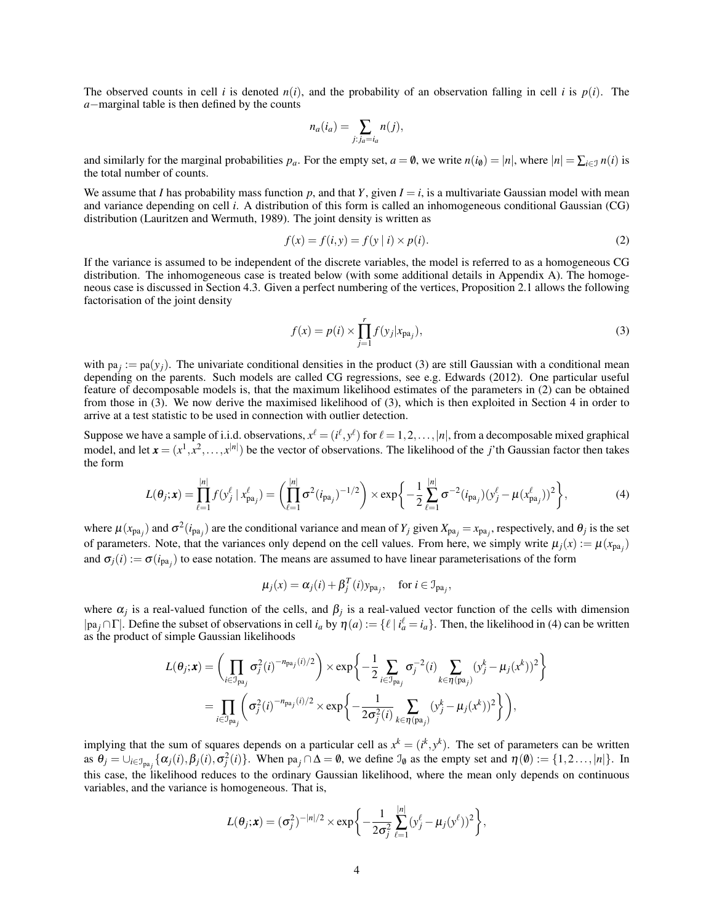The observed counts in cell *i* is denoted  $n(i)$ , and the probability of an observation falling in cell *i* is  $p(i)$ . The *a*−marginal table is then defined by the counts

<span id="page-3-1"></span>
$$
n_a(i_a) = \sum_{j:j_a=i_a} n(j),
$$

and similarly for the marginal probabilities  $p_a$ . For the empty set,  $a = \emptyset$ , we write  $n(i_0) = |n|$ , where  $|n| = \sum_{i \in \mathcal{I}} n(i)$  is the total number of counts.

We assume that *I* has probability mass function  $p$ , and that  $Y$ , given  $I = i$ , is a multivariate Gaussian model with mean and variance depending on cell *i*. A distribution of this form is called an inhomogeneous conditional Gaussian (CG) distribution [\(Lauritzen and Wermuth,](#page-13-9) [1989\)](#page-13-9). The joint density is written as

$$
f(x) = f(i, y) = f(y | i) \times p(i).
$$
 (2)

If the variance is assumed to be independent of the discrete variables, the model is referred to as a homogeneous CG distribution. The inhomogeneous case is treated below (with some additional details in Appendix [A\)](#page-11-0). The homogeneous case is discussed in Section [4.3.](#page-5-0) Given a perfect numbering of the vertices, Proposition [2.1](#page-2-5) allows the following factorisation of the joint density

<span id="page-3-2"></span><span id="page-3-0"></span>
$$
f(x) = p(i) \times \prod_{j=1}^{r} f(y_j | x_{pa_j}),
$$
\n(3)

with  $pa_j := pa(y_j)$ . The univariate conditional densities in the product [\(3\)](#page-3-0) are still Gaussian with a conditional mean depending on the parents. Such models are called CG regressions, see e.g. [Edwards](#page-12-4) [\(2012\)](#page-12-4). One particular useful feature of decomposable models is, that the maximum likelihood estimates of the parameters in [\(2\)](#page-3-1) can be obtained from those in [\(3\)](#page-3-0). We now derive the maximised likelihood of [\(3\)](#page-3-0), which is then exploited in Section [4](#page-4-0) in order to arrive at a test statistic to be used in connection with outlier detection.

Suppose we have a sample of i.i.d. observations,  $x^{\ell} = (i^{\ell}, y^{\ell})$  for  $\ell = 1, 2, ..., |n|$ , from a decomposable mixed graphical model, and let  $\mathbf{x} = (x^1, x^2, \dots, x^{|n|})$  be the vector of observations. The likelihood of the *j*'th Gaussian factor then takes the form

$$
L(\theta_j; \mathbf{x}) = \prod_{\ell=1}^{|n|} f(y_j^{\ell} | x_{pa_j}^{\ell}) = \left( \prod_{\ell=1}^{|n|} \sigma^2 (i_{pa_j})^{-1/2} \right) \times \exp \left\{ -\frac{1}{2} \sum_{\ell=1}^{|n|} \sigma^{-2} (i_{pa_j}) (y_j^{\ell} - \mu (x_{pa_j}^{\ell}))^2 \right\},
$$
(4)

where  $\mu(x_{pa_j})$  and  $\sigma^2(i_{pa_j})$  are the conditional variance and mean of  $Y_j$  given  $X_{pa_j} = x_{pa_j}$ , respectively, and  $\theta_j$  is the set of parameters. Note, that the variances only depend on the cell values. From here, we simply write  $\mu_j(x) := \mu(x_{pa_j})$ and  $\sigma_j(i) := \sigma(i_{pa_j})$  to ease notation. The means are assumed to have linear parameterisations of the form

$$
\mu_j(x) = \alpha_j(i) + \beta_j^T(i)y_{pa_j}, \quad \text{for } i \in \mathcal{I}_{pa_j},
$$

where  $\alpha_j$  is a real-valued function of the cells, and  $\beta_j$  is a real-valued vector function of the cells with dimension |pa<sub>j</sub> ∩ Γ|. Define the subset of observations in cell  $i_a$  by  $\eta(a) := \{ \ell \mid i_a^{\ell} = i_a \}$ . Then, the likelihood in [\(4\)](#page-3-2) can be written as the product of simple Gaussian likelihoods

$$
L(\theta_j; \mathbf{x}) = \left( \prod_{i \in \mathcal{I}_{\text{pa}_j}} \sigma_j^2(i)^{-n_{\text{pa}_j}(i)/2} \right) \times \exp \left\{ -\frac{1}{2} \sum_{i \in \mathcal{I}_{\text{pa}_j}} \sigma_j^{-2}(i) \sum_{k \in \eta(\text{pa}_j)} (y_j^k - \mu_j(x^k))^2 \right\}
$$
  
= 
$$
\prod_{i \in \mathcal{I}_{\text{pa}_j}} \left( \sigma_j^2(i)^{-n_{\text{pa}_j}(i)/2} \times \exp \left\{ -\frac{1}{2\sigma_j^2(i)} \sum_{k \in \eta(\text{pa}_j)} (y_j^k - \mu_j(x^k))^2 \right\} \right),
$$

implying that the sum of squares depends on a particular cell as  $x^k = (i^k, y^k)$ . The set of parameters can be written as  $\theta_j = \bigcup_{i \in \mathcal{I}_{pa_j}} {\{\alpha_j(i), \beta_j(i), \sigma_j^2(i)\}}$ . When  $pa_j \cap \Delta = \emptyset$ , we define  $\mathcal{I}_{\emptyset}$  as the empty set and  $\eta(\emptyset) := \{1, 2, ..., |n|\}$ . In this case, the likelihood reduces to the ordinary Gaussian likelihood, where the mean only depends on continuous variables, and the variance is homogeneous. That is,

$$
L(\theta_j; \mathbf{x}) = (\sigma_j^2)^{-|n|/2} \times \exp\bigg\{-\frac{1}{2\sigma_j^2}\sum_{\ell=1}^{|n|} (y_j^{\ell} - \mu_j(y^{\ell}))^2\bigg\},\,
$$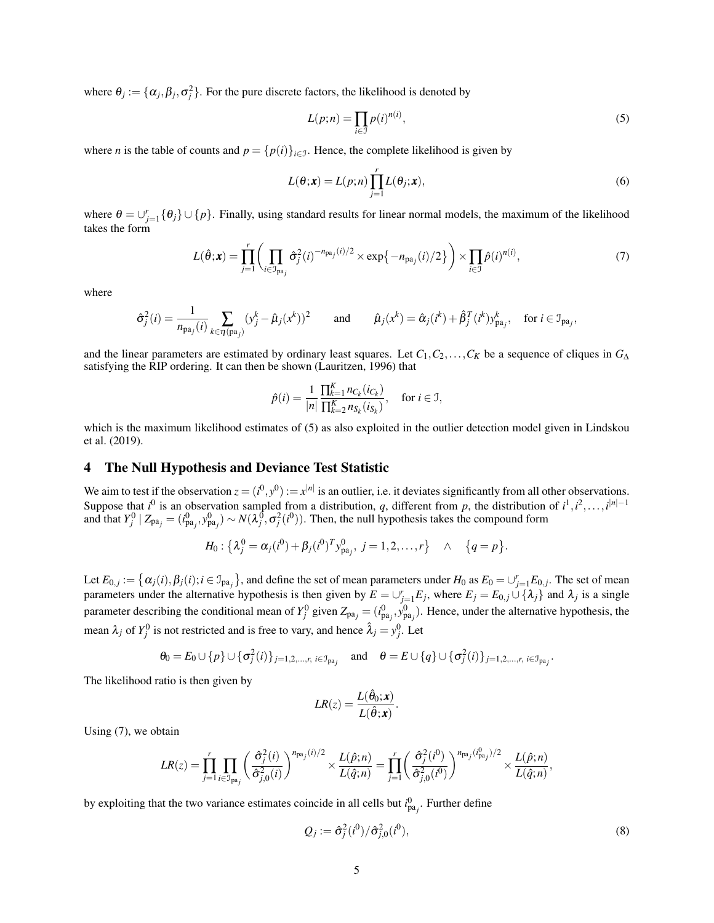where  $\theta_j := {\alpha_j, \beta_j, \sigma_j^2}$ . For the pure discrete factors, the likelihood is denoted by

<span id="page-4-1"></span>
$$
L(p;n) = \prod_{i \in \mathcal{I}} p(i)^{n(i)},\tag{5}
$$

where *n* is the table of counts and  $p = \{p(i)\}_{i \in \mathcal{I}}$ . Hence, the complete likelihood is given by

<span id="page-4-2"></span>
$$
L(\theta; \mathbf{x}) = L(p; n) \prod_{j=1}^{r} L(\theta_j; \mathbf{x}),
$$
\n(6)

where  $\theta = \bigcup_{j=1}^r {\theta_j} \cup \{p\}$ . Finally, using standard results for linear normal models, the maximum of the likelihood takes the form

$$
L(\hat{\boldsymbol{\theta}};\boldsymbol{x}) = \prod_{j=1}^r \left( \prod_{i \in \mathcal{I}_{pa_j}} \hat{\sigma}_j^2(i)^{-n_{pa_j}(i)/2} \times \exp\{-n_{pa_j}(i)/2\} \right) \times \prod_{i \in \mathcal{I}} \hat{p}(i)^{n(i)},\tag{7}
$$

where

$$
\hat{\sigma}_j^2(i) = \frac{1}{n_{\text{pa}_j}(i)} \sum_{k \in \eta(\text{pa}_j)} (y_j^k - \hat{\mu}_j(x^k))^2 \quad \text{and} \quad \hat{\mu}_j(x^k) = \hat{\alpha}_j(i^k) + \hat{\beta}_j^T(i^k) y_{\text{pa}_j}^k, \quad \text{for } i \in \mathcal{I}_{\text{pa}_j},
$$

and the linear parameters are estimated by ordinary least squares. Let  $C_1, C_2, \ldots, C_K$  be a sequence of cliques in  $G_\Delta$ satisfying the RIP ordering. It can then be shown [\(Lauritzen,](#page-13-6) [1996\)](#page-13-6) that

$$
\hat{p}(i) = \frac{1}{|n|} \frac{\prod_{k=1}^{K} n_{C_k}(i_{C_k})}{\prod_{k=2}^{K} n_{S_k}(i_{S_k})}, \quad \text{for } i \in \mathcal{I},
$$

which is the maximum likelihood estimates of [\(5\)](#page-4-1) as also exploited in the outlier detection model given in [Lindskou](#page-13-1) [et al.](#page-13-1) [\(2019\)](#page-13-1).

# <span id="page-4-0"></span>4 The Null Hypothesis and Deviance Test Statistic

We aim to test if the observation  $z = (i^0, y^0) := x^{|n|}$  is an outlier, i.e. it deviates significantly from all other observations. Suppose that  $i^0$  is an observation sampled from a distribution, *q*, different from *p*, the distribution of  $i^1, i^2, \ldots, i^{|n|-1}$ and that  $Y_j^0 | Z_{pa_j} = (i_{pa_j}^0, y_{pa_j}^0) \sim N(\lambda_j^0, \sigma_j^2(i^0))$ . Then, the null hypothesis takes the compound form

$$
H_0: \{\lambda_j^0 = \alpha_j(i^0) + \beta_j(i^0)^T y_{\text{pa}_j}^0, \ j = 1, 2, \dots, r\} \quad \wedge \quad \{q = p\}.
$$

Let  $E_{0,j} := \left\{ \alpha_j(i), \beta_j(i); i \in \mathbb{J}_{\text{pa}_j} \right\}$ , and define the set of mean parameters under  $H_0$  as  $E_0 = \cup_{j=1}^r E_{0,j}$ . The set of mean parameters under the alternative hypothesis is then given by  $E = \bigcup_{j=1}^{r} E_j$ , where  $E_j = E_{0,j} \cup \{\lambda_j\}$  and  $\lambda_j$  is a single parameter describing the conditional mean of  $Y_j^0$  given  $Z_{pa_j} = (i_{pa_j}^0, y_{pa_j}^0)$ . Hence, under the alternative hypothesis, the mean  $\lambda_j$  of  $Y_j^0$  is not restricted and is free to vary, and hence  $\hat{\lambda}_j = y_j^0$ . Let

$$
\theta_0 = E_0 \cup \{p\} \cup \{\sigma_j^2(i)\}_{j=1,2,\dots,r, i \in \mathcal{I}_{\mathrm{pa}_j}} \quad \text{and} \quad \theta = E \cup \{q\} \cup \{\sigma_j^2(i)\}_{j=1,2,\dots,r, i \in \mathcal{I}_{\mathrm{pa}_j}}.
$$

The likelihood ratio is then given by

$$
LR(z) = \frac{L(\hat{\theta}_0; \mathbf{x})}{L(\hat{\theta}; \mathbf{x})}.
$$

Using [\(7\)](#page-4-2), we obtain

$$
LR(z) = \prod_{j=1}^r \prod_{i \in \mathcal{I}_{pa_j}} \left( \frac{\hat{\sigma}_j^2(i)}{\hat{\sigma}_{j,0}^2(i)} \right)^{n_{pa_j}(i)/2} \times \frac{L(\hat{p};n)}{L(\hat{q};n)} = \prod_{j=1}^r \left( \frac{\hat{\sigma}_j^2(i^0)}{\hat{\sigma}_{j,0}^2(i^0)} \right)^{n_{pa_j}(i_{pa_j}^0)/2} \times \frac{L(\hat{p};n)}{L(\hat{q};n)},
$$

by exploiting that the two variance estimates coincide in all cells but  $i_{pa_j}^0$ . Further define

<span id="page-4-3"></span>
$$
Q_j := \hat{\sigma}_j^2(i^0)/\hat{\sigma}_{j,0}^2(i^0),\tag{8}
$$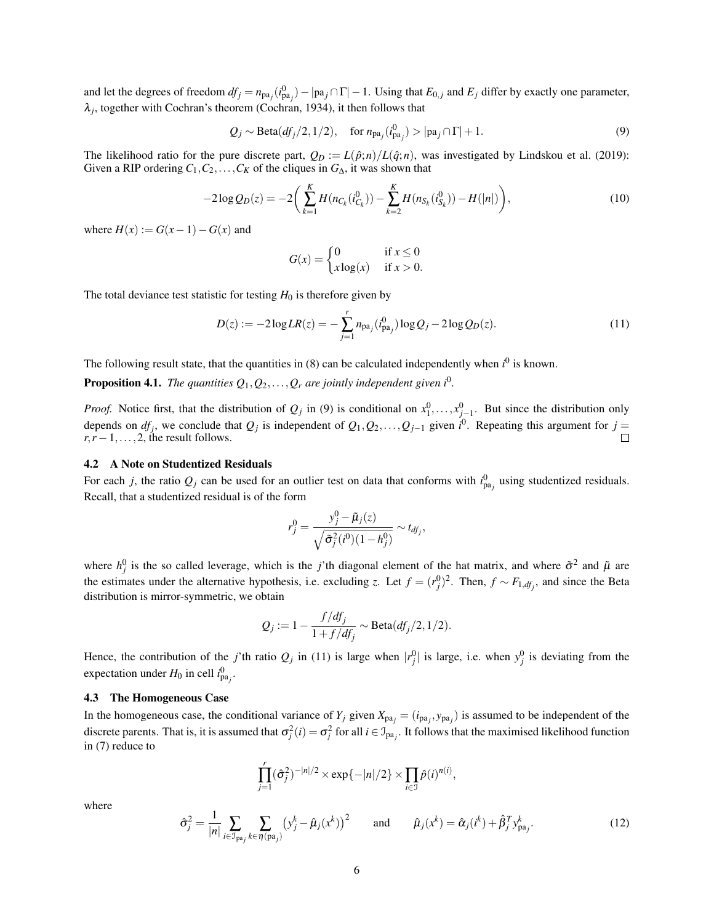and let the degrees of freedom  $df_j = n_{pa_j}(i_{pa_j}^0) - |pa_j \cap \Gamma| - 1$ . Using that  $E_{0,j}$  and  $E_j$  differ by exactly one parameter,  $\lambda_j$ , together with Cochran's theorem [\(Cochran,](#page-12-5) [1934\)](#page-12-5), it then follows that

$$
Q_j \sim \text{Beta}(df_j/2, 1/2), \quad \text{for } n_{pa_j}(i_{pa_j}^0) > |pa_j \cap \Gamma| + 1.
$$
 (9)

The likelihood ratio for the pure discrete part,  $Q_D := L(\hat{p}; n)/L(\hat{q}; n)$ , was investigated by [Lindskou et al.](#page-13-1) [\(2019\)](#page-13-1): Given a RIP ordering  $C_1, C_2, \ldots, C_K$  of the cliques in  $G_{\Delta}$ , it was shown that

$$
-2\log Q_D(z) = -2\bigg(\sum_{k=1}^K H(n_{C_k}(i_{C_k}^0)) - \sum_{k=2}^K H(n_{S_k}(i_{S_k}^0)) - H(|n|)\bigg),\tag{10}
$$

where  $H(x) := G(x-1) - G(x)$  and

<span id="page-5-4"></span><span id="page-5-2"></span><span id="page-5-1"></span>
$$
G(x) = \begin{cases} 0 & \text{if } x \le 0\\ x \log(x) & \text{if } x > 0. \end{cases}
$$

The total deviance test statistic for testing  $H_0$  is therefore given by

$$
D(z) := -2\log LR(z) = -\sum_{j=1}^{r} n_{pa_j}(i_{pa_j}^0) \log Q_j - 2\log Q_D(z). \tag{11}
$$

The following result state, that the quantities in  $(8)$  can be calculated independently when  $i^0$  is known.

<span id="page-5-5"></span>**Proposition 4.1.** The quantities  $Q_1, Q_2, \ldots, Q_r$  are jointly independent given  $i^0$ .

*Proof.* Notice first, that the distribution of  $Q_j$  in [\(9\)](#page-5-1) is conditional on  $x_1^0, \ldots, x_{j-1}^0$ . But since the distribution only depends on  $df_j$ , we conclude that  $Q_j$  is independent of  $Q_1, Q_2, \ldots, Q_{j-1}$  given  $i^0$ . Repeating this argument for  $j =$  $r, r-1, \ldots, 2$ , the result follows.  $\Box$ 

## <span id="page-5-3"></span>4.2 A Note on Studentized Residuals

For each *j*, the ratio  $Q_j$  can be used for an outlier test on data that conforms with  $i_{pa_j}^0$  using studentized residuals. Recall, that a studentized residual is of the form

$$
r_j^0 = \frac{y_j^0 - \tilde{\mu}_j(z)}{\sqrt{\tilde{\sigma}_j^2(i^0)(1 - h_j^0)}} \sim t_{df_j},
$$

where  $h_j^0$  is the so called leverage, which is the *j*'th diagonal element of the hat matrix, and where  $\tilde{\sigma}^2$  and  $\tilde{\mu}$  are the estimates under the alternative hypothesis, i.e. excluding *z*. Let  $f = (r_j^0)^2$ . Then,  $f \sim F_{1, df_j}$ , and since the Beta distribution is mirror-symmetric, we obtain

$$
Q_j := 1 - \frac{f/df_j}{1 + f/df_j} \sim \text{Beta}(df_j/2, 1/2).
$$

Hence, the contribution of the *j*'th ratio  $Q_j$  in [\(11\)](#page-5-2) is large when  $|r_j^0|$  is large, i.e. when  $y_j^0$  is deviating from the expectation under  $H_0$  in cell  $i_{pa_j}^0$ .

#### <span id="page-5-0"></span>4.3 The Homogeneous Case

In the homogeneous case, the conditional variance of  $Y_j$  given  $X_{pa_j} = (i_{pa_j}, y_{pa_j})$  is assumed to be independent of the discrete parents. That is, it is assumed that  $\sigma_j^2(i) = \sigma_j^2$  for all  $i \in \mathcal{I}_{pa_j}$ . It follows that the maximised likelihood function in [\(7\)](#page-4-2) reduce to

$$
\prod_{j=1}^r (\hat{\sigma}_j^2)^{-|n|/2} \times \exp\{-|n|/2\} \times \prod_{i \in \mathcal{I}} \hat{p}(i)^{n(i)},
$$

<span id="page-5-6"></span>where

$$
\hat{\sigma}_j^2 = \frac{1}{|n|} \sum_{i \in \mathcal{I}_{\text{pa}_j}} \sum_{k \in \eta(\text{pa}_j)} (y_j^k - \hat{\mu}_j(x^k))^2 \quad \text{and} \quad \hat{\mu}_j(x^k) = \hat{\alpha}_j(i^k) + \hat{\beta}_j^T y_{\text{pa}_j}^k.
$$
 (12)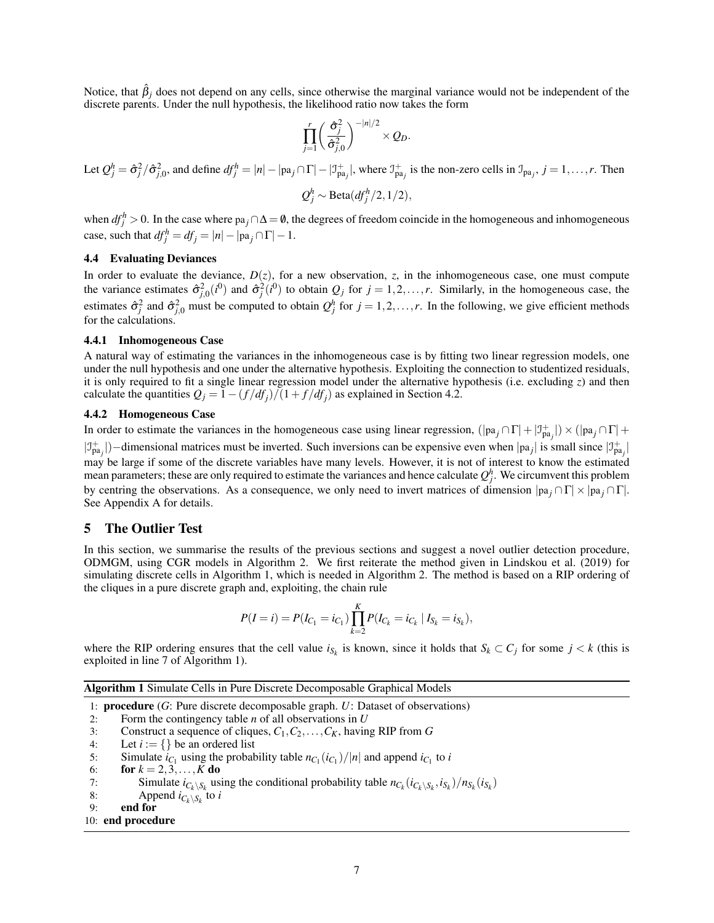Notice, that  $\hat{\beta}_i$  does not depend on any cells, since otherwise the marginal variance would not be independent of the discrete parents. Under the null hypothesis, the likelihood ratio now takes the form

$$
\prod_{j=1}^r \left(\frac{\hat{\sigma}_j^2}{\hat{\sigma}_{j,0}^2}\right)^{-|n|/2} \times Q_D.
$$

Let 
$$
Q_j^h = \hat{\sigma}_j^2 / \hat{\sigma}_{j,0}^2
$$
, and define  $df_j^h = |n| - |\text{pa}_j \cap \Gamma| - |\mathcal{I}_{\text{pa}_j}^+|$ , where  $\mathcal{I}_{\text{pa}_j}^+$  is the non-zero cells in  $\mathcal{I}_{\text{pa}_j}$ ,  $j = 1, ..., r$ . Then  

$$
Q_j^h \sim \text{Beta}(df_j^h/2, 1/2),
$$

when  $df_j^h > 0$ . In the case where pa<sub>j</sub> ∩ $\Delta = \emptyset$ , the degrees of freedom coincide in the homogeneous and inhomogeneous case, such that  $df_j^h = df_j = |n| - |pa_j \cap \Gamma| - 1$ .

#### 4.4 Evaluating Deviances

In order to evaluate the deviance,  $D(z)$ , for a new observation, *z*, in the inhomogeneous case, one must compute the variance estimates  $\hat{\sigma}_{j,0}^2(i^0)$  and  $\hat{\sigma}_j^2(i^0)$  to obtain  $Q_j$  for  $j = 1, 2, ..., r$ . Similarly, in the homogeneous case, the estimates  $\hat{\sigma}_j^2$  and  $\hat{\sigma}_{j,0}^2$  must be computed to obtain  $Q_j^h$  for  $j = 1,2,\ldots,r$ . In the following, we give efficient methods for the calculations.

#### 4.4.1 Inhomogeneous Case

A natural way of estimating the variances in the inhomogeneous case is by fitting two linear regression models, one under the null hypothesis and one under the alternative hypothesis. Exploiting the connection to studentized residuals, it is only required to fit a single linear regression model under the alternative hypothesis (i.e. excluding *z*) and then calculate the quantities  $Q_j = 1 - (f/df_j)/(1 + f/df_j)$  as explained in Section [4.2.](#page-5-3)

#### 4.4.2 Homogeneous Case

In order to estimate the variances in the homogeneous case using linear regression,  $(|pa_j \cap \Gamma| + |\mathcal{I}_{pa_j}^+|) \times (|pa_j \cap \Gamma| + |\mathcal{I}_{pa_j}^+|)$ 

 $|J_{pa_j}^+|$ )–dimensional matrices must be inverted. Such inversions can be expensive even when  $|pa_j|$  is small since  $|J_{pa_j}^+|$ may be large if some of the discrete variables have many levels. However, it is not of interest to know the estimated mean parameters; these are only required to estimate the variances and hence calculate  $Q_j^h$ . We circumvent this problem by centring the observations. As a consequence, we only need to invert matrices of dimension |pa *<sup>j</sup>* ∩Γ| × |pa *<sup>j</sup>* ∩Γ|. See Appendix [A](#page-11-0) for details.

#### <span id="page-6-0"></span>5 The Outlier Test

In this section, we summarise the results of the previous sections and suggest a novel outlier detection procedure, ODMGM, using CGR models in Algorithm [2.](#page-7-1) We first reiterate the method given in [Lindskou et al.](#page-13-1) [\(2019\)](#page-13-1) for simulating discrete cells in Algorithm [1,](#page-6-1) which is needed in Algorithm [2.](#page-7-1) The method is based on a RIP ordering of the cliques in a pure discrete graph and, exploiting, the chain rule

$$
P(I = i) = P(I_{C_1} = i_{C_1}) \prod_{k=2}^{K} P(I_{C_k} = i_{C_k} | I_{S_k} = i_{S_k}),
$$

where the RIP ordering ensures that the cell value  $i_{S_k}$  is known, since it holds that  $S_k \subset C_j$  for some  $j < k$  (this is exploited in line [7](#page-6-1) of Algorithm [1\)](#page-6-1).

<span id="page-6-1"></span>Algorithm 1 Simulate Cells in Pure Discrete Decomposable Graphical Models

1: procedure (*G*: Pure discrete decomposable graph. *U*: Dataset of observations)

- 2: Form the contingency table *n* of all observations in *U*
- 3: Construct a sequence of cliques,  $C_1, C_2, ..., C_K$ , having RIP from *G*<br>4: Let  $i := \{\}$  be an ordered list

4: Let  $i := \{\}$  be an ordered list<br>5: Simulate  $i_C$ , using the probable

- 5: Simulate  $i_{C_1}$  using the probability table  $n_{C_1}(i_{C_1})/|n|$  and append  $i_{C_1}$  to  $i$
- 6: **for**  $k = 2, 3, ..., K$  **do**<br>7: **Simulate**  $i_C \setminus s$  **us**
- 7: Simulate  $i_{C_k \setminus S_k}$  using the conditional probability table  $n_{C_k}(i_{C_k \setminus S_k}, i_{S_k})/n_{S_k}(i_{S_k})$
- 8: Append  $i_{C_k \setminus S_k}$  to *i*
- 9: end for

#### 10: end procedure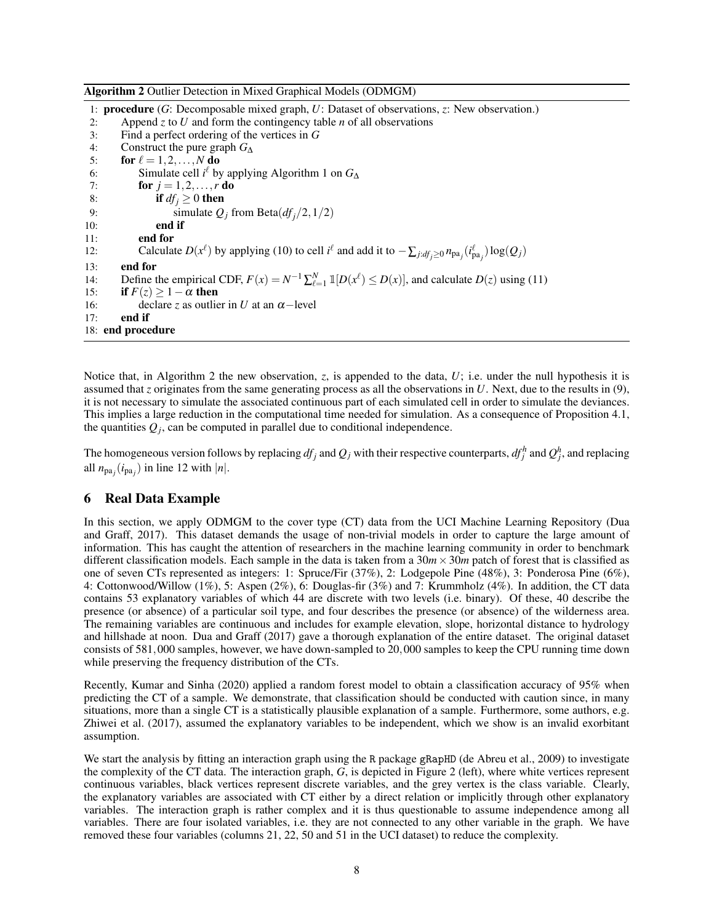<span id="page-7-1"></span>Algorithm 2 Outlier Detection in Mixed Graphical Models (ODMGM)

1: procedure (*G*: Decomposable mixed graph, *U*: Dataset of observations, *z*: New observation.) 2: Append *z* to *U* and form the contingency table *n* of all observations 3: Find a perfect ordering of the vertices in *G* 3: Find a perfect ordering of the vertices in *G* 4: Construct the pure graph  $G_{\Delta}$ <br>5: **for**  $\ell = 1, 2, ..., N$  **do** for  $\ell = 1,2,\ldots,N$  do 6: Simulate cell  $i^{\ell}$  by applying Algorithm [1](#page-6-1) on  $G_{\Delta}$ 7: **for**  $j = 1, 2, ..., r$  **do** 8: **if**  $df_j \ge 0$  **then** 9: simulate  $Q_j$  from Beta $(df_j/2, 1/2)$ <br>10: **end if** end if 11: end for 12: Calculate  $D(x^{\ell})$  by applying [\(10\)](#page-5-4) to cell  $i^{\ell}$  and add it to  $-\sum_{j:d f_j \ge 0} n_{pa_j}(i^{\ell}_{pa_j}) \log(Q_j)$ 13: end for 14: Define the empirical CDF,  $F(x) = N^{-1} \sum_{\ell=1}^{N} \mathbb{1}[D(x^{\ell}) \leq D(x)]$ , and calculate  $D(z)$  using [\(11\)](#page-5-2) 15: **if**  $F(z) > 1 - \alpha$  then 16: declare *z* as outlier in *U* at an  $\alpha$ -level 17: end if 18: end procedure

Notice that, in Algorithm [2](#page-7-1) the new observation, *z*, is appended to the data, *U*; i.e. under the null hypothesis it is assumed that *z* originates from the same generating process as all the observations in *U*. Next, due to the results in [\(9\)](#page-5-1), it is not necessary to simulate the associated continuous part of each simulated cell in order to simulate the deviances. This implies a large reduction in the computational time needed for simulation. As a consequence of Proposition [4.1,](#page-5-5) the quantities  $Q_j$ , can be computed in parallel due to conditional independence.

The homogeneous version follows by replacing  $df_j$  and  $Q_j$  with their respective counterparts,  $df_j^h$  and  $Q_j^h$ , and replacing all  $n_{pa_j}(i_{pa_j})$  in line [12](#page-7-1) with  $|n|$ .

## <span id="page-7-0"></span>6 Real Data Example

In this section, we apply ODMGM to the cover type (CT) data from the UCI Machine Learning Repository [\(Dua](#page-12-6) [and Graff,](#page-12-6) [2017\)](#page-12-6). This dataset demands the usage of non-trivial models in order to capture the large amount of information. This has caught the attention of researchers in the machine learning community in order to benchmark different classification models. Each sample in the data is taken from a  $30m \times 30m$  patch of forest that is classified as one of seven CTs represented as integers: 1: Spruce/Fir (37%), 2: Lodgepole Pine (48%), 3: Ponderosa Pine (6%), 4: Cottonwood/Willow (1%), 5: Aspen (2%), 6: Douglas-fir (3%) and 7: Krummholz (4%). In addition, the CT data contains 53 explanatory variables of which 44 are discrete with two levels (i.e. binary). Of these, 40 describe the presence (or absence) of a particular soil type, and four describes the presence (or absence) of the wilderness area. The remaining variables are continuous and includes for example elevation, slope, horizontal distance to hydrology and hillshade at noon. [Dua and Graff](#page-12-6) [\(2017\)](#page-12-6) gave a thorough explanation of the entire dataset. The original dataset consists of 581,000 samples, however, we have down-sampled to 20,000 samples to keep the CPU running time down while preserving the frequency distribution of the CTs.

Recently, [Kumar and Sinha](#page-13-10) [\(2020\)](#page-13-10) applied a random forest model to obtain a classification accuracy of 95% when predicting the CT of a sample. We demonstrate, that classification should be conducted with caution since, in many situations, more than a single CT is a statistically plausible explanation of a sample. Furthermore, some authors, e.g. [Zhiwei et al.](#page-13-11) [\(2017\)](#page-13-11), assumed the explanatory variables to be independent, which we show is an invalid exorbitant assumption.

We start the analysis by fitting an interaction graph using the R package gRapHD [\(de Abreu et al.,](#page-12-7) [2009\)](#page-12-7) to investigate the complexity of the CT data. The interaction graph, *G*, is depicted in Figure [2](#page-8-0) (left), where white vertices represent continuous variables, black vertices represent discrete variables, and the grey vertex is the class variable. Clearly, the explanatory variables are associated with CT either by a direct relation or implicitly through other explanatory variables. The interaction graph is rather complex and it is thus questionable to assume independence among all variables. There are four isolated variables, i.e. they are not connected to any other variable in the graph. We have removed these four variables (columns 21, 22, 50 and 51 in the UCI dataset) to reduce the complexity.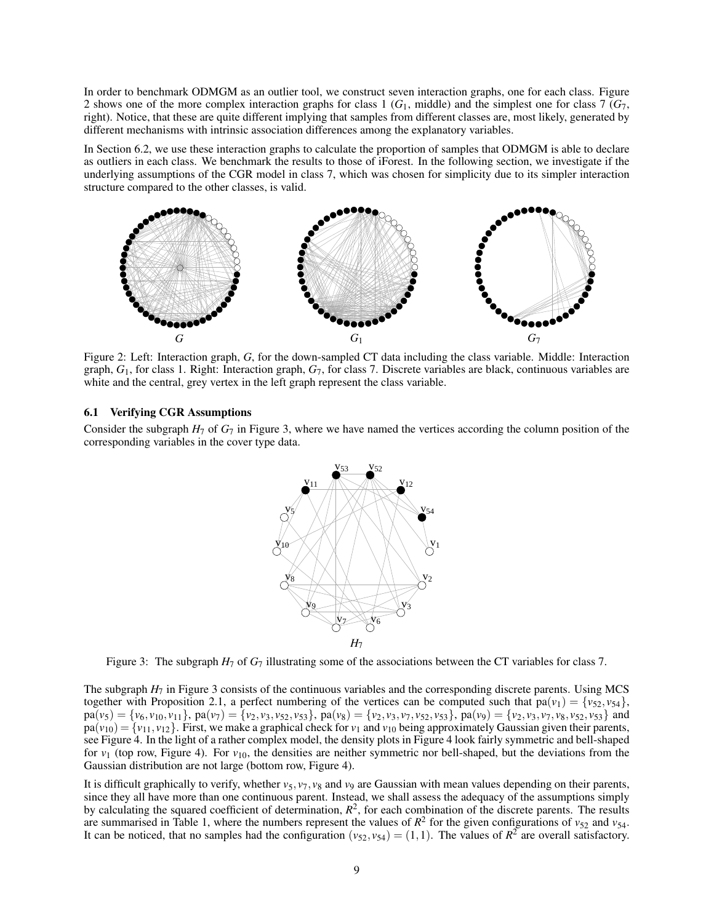In order to benchmark ODMGM as an outlier tool, we construct seven interaction graphs, one for each class. Figure [2](#page-8-0) shows one of the more complex interaction graphs for class 1 (*G*1, middle) and the simplest one for class 7 (*G*7, right). Notice, that these are quite different implying that samples from different classes are, most likely, generated by different mechanisms with intrinsic association differences among the explanatory variables.

In Section [6.2,](#page-9-0) we use these interaction graphs to calculate the proportion of samples that ODMGM is able to declare as outliers in each class. We benchmark the results to those of iForest. In the following section, we investigate if the underlying assumptions of the CGR model in class 7, which was chosen for simplicity due to its simpler interaction structure compared to the other classes, is valid.

<span id="page-8-0"></span>

Figure 2: Left: Interaction graph, *G*, for the down-sampled CT data including the class variable. Middle: Interaction graph, *G*1, for class 1. Right: Interaction graph, *G*7, for class 7. Discrete variables are black, continuous variables are white and the central, grey vertex in the left graph represent the class variable.

## 6.1 Verifying CGR Assumptions

<span id="page-8-1"></span>Consider the subgraph  $H_7$  of  $G_7$  in Figure [3,](#page-8-1) where we have named the vertices according the column position of the corresponding variables in the cover type data.



Figure 3: The subgraph  $H_7$  of  $G_7$  illustrating some of the associations between the CT variables for class 7.

The subgraph *H*<sup>7</sup> in Figure [3](#page-8-1) consists of the continuous variables and the corresponding discrete parents. Using MCS together with Proposition [2.1,](#page-2-5) a perfect numbering of the vertices can be computed such that  $pa(v_1) = \{v_{52}, v_{54}\},\$  $pa(v_5) = \{v_6, v_{10}, v_{11}\}\$ ,  $pa(v_7) = \{v_2, v_3, v_{52}, v_{53}\}\$ ,  $pa(v_8) = \{v_2, v_3, v_7, v_{52}, v_{53}\}\$ ,  $pa(v_9) = \{v_2, v_3, v_7, v_8, v_{52}, v_{53}\}\$  and  $pa(v_{10}) = \{v_{11}, v_{12}\}$ . First, we make a graphical check for  $v_1$  and  $v_{10}$  being approximately Gaussian given their parents, see Figure [4.](#page-9-1) In the light of a rather complex model, the density plots in Figure [4](#page-9-1) look fairly symmetric and bell-shaped for  $v_1$  (top row, Figure [4\)](#page-9-1). For  $v_{10}$ , the densities are neither symmetric nor bell-shaped, but the deviations from the Gaussian distribution are not large (bottom row, Figure [4\)](#page-9-1).

It is difficult graphically to verify, whether  $v_5$ ,  $v_7$ ,  $v_8$  and  $v_9$  are Gaussian with mean values depending on their parents, since they all have more than one continuous parent. Instead, we shall assess the adequacy of the assumptions simply by calculating the squared coefficient of determination,  $R^2$ , for each combination of the discrete parents. The results are summarised in Table [1,](#page-9-2) where the numbers represent the values of  $R^2$  for the given configurations of  $v_{52}$  and  $v_{54}$ . It can be noticed, that no samples had the configuration  $(v_{52}, v_{54}) = (1,1)$ . The values of  $R^2$  are overall satisfactory.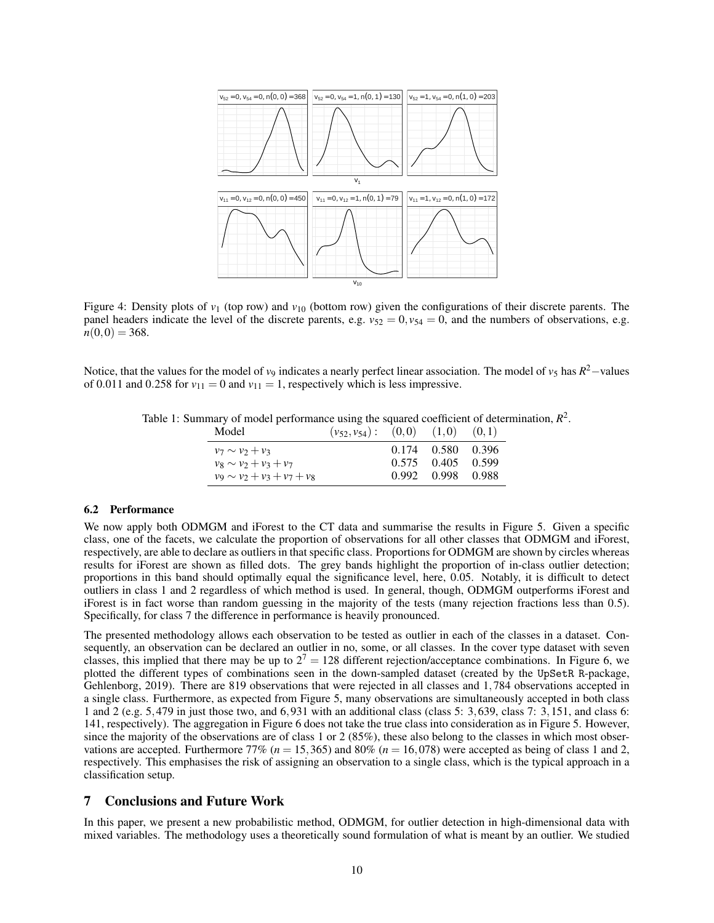<span id="page-9-1"></span>

Figure 4: Density plots of  $v_1$  (top row) and  $v_{10}$  (bottom row) given the configurations of their discrete parents. The panel headers indicate the level of the discrete parents, e.g.  $v_{52} = 0$ ,  $v_{54} = 0$ , and the numbers of observations, e.g.  $n(0,0) = 368.$ 

<span id="page-9-2"></span>Notice, that the values for the model of *v*<sub>9</sub> indicates a nearly perfect linear association. The model of *v*<sub>5</sub> has  $R^2$ —values of 0.011 and 0.258 for  $v_{11} = 0$  and  $v_{11} = 1$ , respectively which is less impressive.

Table 1: Summary of model performance using the squared coefficient of determination,  $R^2$ .

| Model                            | $(v_{52}, v_{54})$ : | $(0,0)$ $(1,0)$ |                   | (0,1) |
|----------------------------------|----------------------|-----------------|-------------------|-------|
| $v_7 \sim v_2 + v_3$             |                      |                 | 0.174 0.580 0.396 |       |
| $v_8 \sim v_2 + v_3 + v_7$       |                      |                 | $0.575$ 0.405     | 0.599 |
| $v_9 \sim v_2 + v_3 + v_7 + v_8$ |                      |                 | 0.992 0.998 0.988 |       |

#### <span id="page-9-0"></span>6.2 Performance

We now apply both ODMGM and iForest to the CT data and summarise the results in Figure [5.](#page-10-0) Given a specific class, one of the facets, we calculate the proportion of observations for all other classes that ODMGM and iForest, respectively, are able to declare as outliers in that specific class. Proportions for ODMGM are shown by circles whereas results for iForest are shown as filled dots. The grey bands highlight the proportion of in-class outlier detection; proportions in this band should optimally equal the significance level, here, 0.05. Notably, it is difficult to detect outliers in class 1 and 2 regardless of which method is used. In general, though, ODMGM outperforms iForest and iForest is in fact worse than random guessing in the majority of the tests (many rejection fractions less than 0.5). Specifically, for class 7 the difference in performance is heavily pronounced.

The presented methodology allows each observation to be tested as outlier in each of the classes in a dataset. Consequently, an observation can be declared an outlier in no, some, or all classes. In the cover type dataset with seven classes, this implied that there may be up to  $2^7 = 128$  different rejection/acceptance combinations. In Figure [6,](#page-10-1) we plotted the different types of combinations seen in the down-sampled dataset (created by the UpSetR R-package, [Gehlenborg,](#page-13-12) [2019\)](#page-13-12). There are 819 observations that were rejected in all classes and 1,784 observations accepted in a single class. Furthermore, as expected from Figure [5,](#page-10-0) many observations are simultaneously accepted in both class 1 and 2 (e.g. 5,479 in just those two, and 6,931 with an additional class (class 5: 3,639, class 7: 3,151, and class 6: 141, respectively). The aggregation in Figure [6](#page-10-1) does not take the true class into consideration as in Figure [5.](#page-10-0) However, since the majority of the observations are of class 1 or 2 (85%), these also belong to the classes in which most observations are accepted. Furthermore 77% ( $n = 15,365$ ) and 80% ( $n = 16,078$ ) were accepted as being of class 1 and 2, respectively. This emphasises the risk of assigning an observation to a single class, which is the typical approach in a classification setup.

## 7 Conclusions and Future Work

In this paper, we present a new probabilistic method, ODMGM, for outlier detection in high-dimensional data with mixed variables. The methodology uses a theoretically sound formulation of what is meant by an outlier. We studied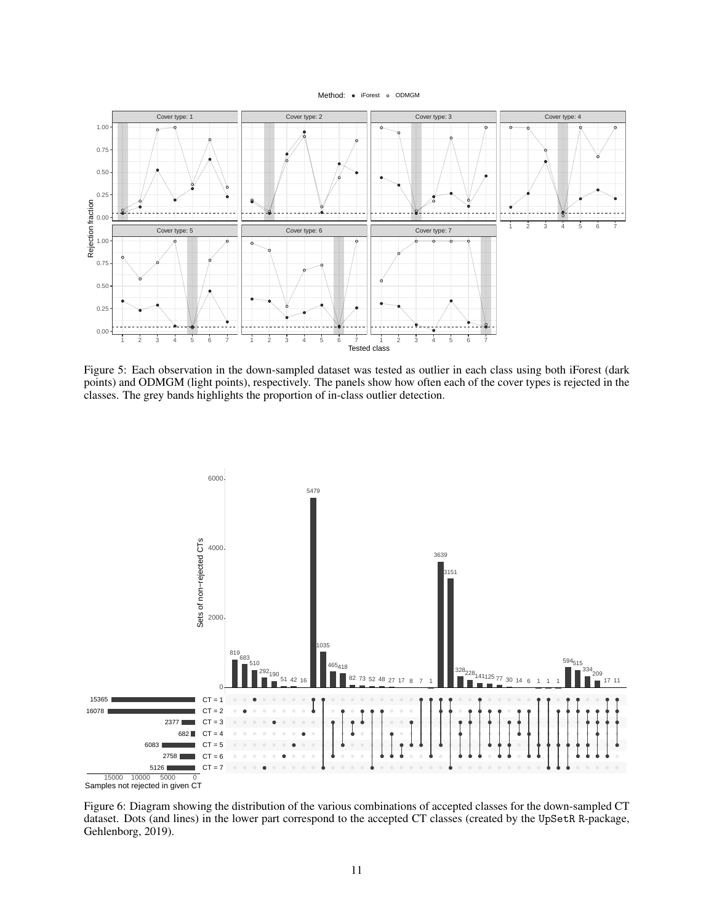

<span id="page-10-0"></span>

Figure 5: Each observation in the down-sampled dataset was tested as outlier in each class using both iForest (dark points) and ODMGM (light points), respectively. The panels show how often each of the cover types is rejected in the classes. The grey bands highlights the proportion of in-class outlier detection.

<span id="page-10-1"></span>

Figure 6: Diagram showing the distribution of the various combinations of accepted classes for the down-sampled CT dataset. Dots (and lines) in the lower part correspond to the accepted CT classes (created by the UpSetR R-package, [Gehlenborg,](#page-13-12) [2019\)](#page-13-12).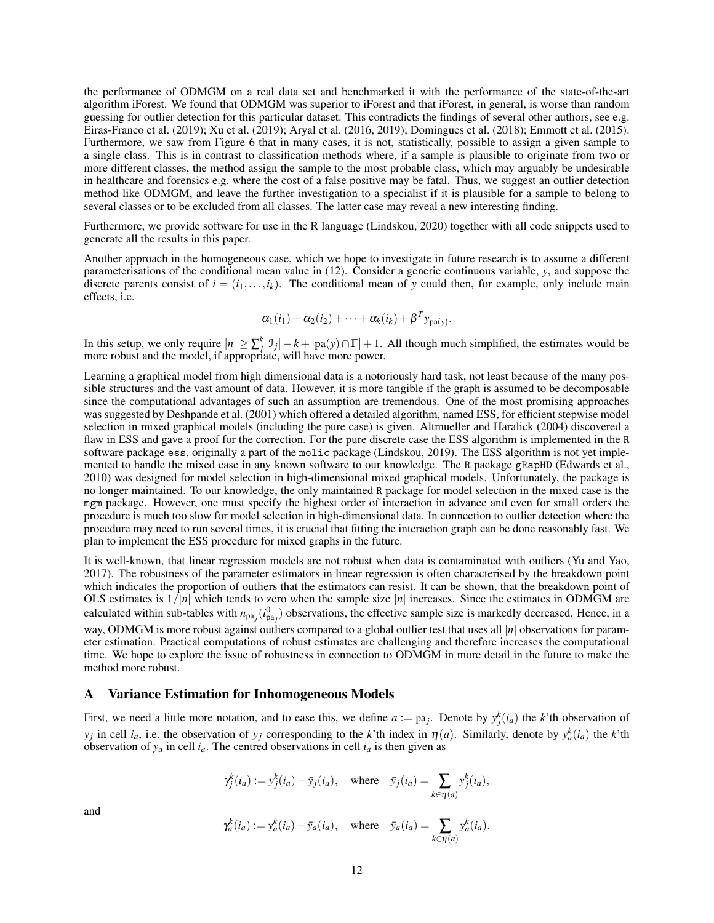the performance of ODMGM on a real data set and benchmarked it with the performance of the state-of-the-art algorithm iForest. We found that ODMGM was superior to iForest and that iForest, in general, is worse than random guessing for outlier detection for this particular dataset. This contradicts the findings of several other authors, see e.g. [Eiras-Franco et al.](#page-12-0) [\(2019\)](#page-12-0); [Xu et al.](#page-13-4) [\(2019\)](#page-13-4); [Aryal et al.](#page-12-1) [\(2016,](#page-12-1) [2019\)](#page-12-2); [Domingues et al.](#page-12-3) [\(2018\)](#page-12-3); [Emmott et al.](#page-13-5) [\(2015\)](#page-13-5). Furthermore, we saw from Figure [6](#page-10-1) that in many cases, it is not, statistically, possible to assign a given sample to a single class. This is in contrast to classification methods where, if a sample is plausible to originate from two or more different classes, the method assign the sample to the most probable class, which may arguably be undesirable in healthcare and forensics e.g. where the cost of a false positive may be fatal. Thus, we suggest an outlier detection method like ODMGM, and leave the further investigation to a specialist if it is plausible for a sample to belong to several classes or to be excluded from all classes. The latter case may reveal a new interesting finding.

Furthermore, we provide software for use in the R language [\(Lindskou,](#page-13-13) [2020\)](#page-13-13) together with all code snippets used to generate all the results in this paper.

Another approach in the homogeneous case, which we hope to investigate in future research is to assume a different parameterisations of the conditional mean value in [\(12\)](#page-5-6). Consider a generic continuous variable, *y*, and suppose the discrete parents consist of  $i = (i_1, \ldots, i_k)$ . The conditional mean of y could then, for example, only include main effects, i.e.

$$
\alpha_1(i_1) + \alpha_2(i_2) + \cdots + \alpha_k(i_k) + \beta^T y_{\text{pa}(y)}.
$$

In this setup, we only require  $|n| \ge \sum_{j=1}^{k} |J_j| - k + |pa(y) \cap \Gamma| + 1$ . All though much simplified, the estimates would be more robust and the model, if appropriate, will have more power.

Learning a graphical model from high dimensional data is a notoriously hard task, not least because of the many possible structures and the vast amount of data. However, it is more tangible if the graph is assumed to be decomposable since the computational advantages of such an assumption are tremendous. One of the most promising approaches was suggested by [Deshpande et al.](#page-12-8) [\(2001\)](#page-12-8) which offered a detailed algorithm, named ESS, for efficient stepwise model selection in mixed graphical models (including the pure case) is given. [Altmueller and Haralick](#page-12-9) [\(2004\)](#page-12-9) discovered a flaw in ESS and gave a proof for the correction. For the pure discrete case the ESS algorithm is implemented in the R software package ess, originally a part of the molic package [\(Lindskou,](#page-13-14) [2019\)](#page-13-14). The ESS algorithm is not yet implemented to handle the mixed case in any known software to our knowledge. The R package gRapHD [\(Edwards et al.,](#page-12-10) [2010\)](#page-12-10) was designed for model selection in high-dimensional mixed graphical models. Unfortunately, the package is no longer maintained. To our knowledge, the only maintained R package for model selection in the mixed case is the mgm package. However, one must specify the highest order of interaction in advance and even for small orders the procedure is much too slow for model selection in high-dimensional data. In connection to outlier detection where the procedure may need to run several times, it is crucial that fitting the interaction graph can be done reasonably fast. We plan to implement the ESS procedure for mixed graphs in the future.

It is well-known, that linear regression models are not robust when data is contaminated with outliers [\(Yu and Yao,](#page-12-11) [2017\)](#page-12-11). The robustness of the parameter estimators in linear regression is often characterised by the breakdown point which indicates the proportion of outliers that the estimators can resist. It can be shown, that the breakdown point of OLS estimates is  $1/|n|$  which tends to zero when the sample size  $|n|$  increases. Since the estimates in ODMGM are calculated within sub-tables with  $n_{pa_j}(i_{pa_j}^0)$  observations, the effective sample size is markedly decreased. Hence, in a way, ODMGM is more robust against outliers compared to a global outlier test that uses all |*n*| observations for parameter estimation. Practical computations of robust estimates are challenging and therefore increases the computational time. We hope to explore the issue of robustness in connection to ODMGM in more detail in the future to make the method more robust.

## <span id="page-11-0"></span>A Variance Estimation for Inhomogeneous Models

First, we need a little more notation, and to ease this, we define  $a := pa_j$ . Denote by  $y_j^k(i_a)$  the *k*'th observation of *y*<sub>*j*</sub> in cell *i<sub>a</sub>*, i.e. the observation of *y<sub>j</sub>* corresponding to the *k*'th index in  $\eta$ (*a*). Similarly, denote by  $y_a^k(i_a)$  the *k*'th observation of  $y_a$  in cell  $i_a$ . The centred observations in cell  $i_a$  is then given as

$$
\gamma_j^k(i_a) := y_j^k(i_a) - \bar{y}_j(i_a),
$$
 where  $\bar{y}_j(i_a) = \sum_{k \in \eta(a)} y_j^k(i_a),$ 

$$
\gamma_a^k(i_a) := y_a^k(i_a) - \bar{y}_a(i_a),
$$
 where  $\bar{y}_a(i_a) = \sum_{k \in \eta(a)} y_a^k(i_a).$ 

and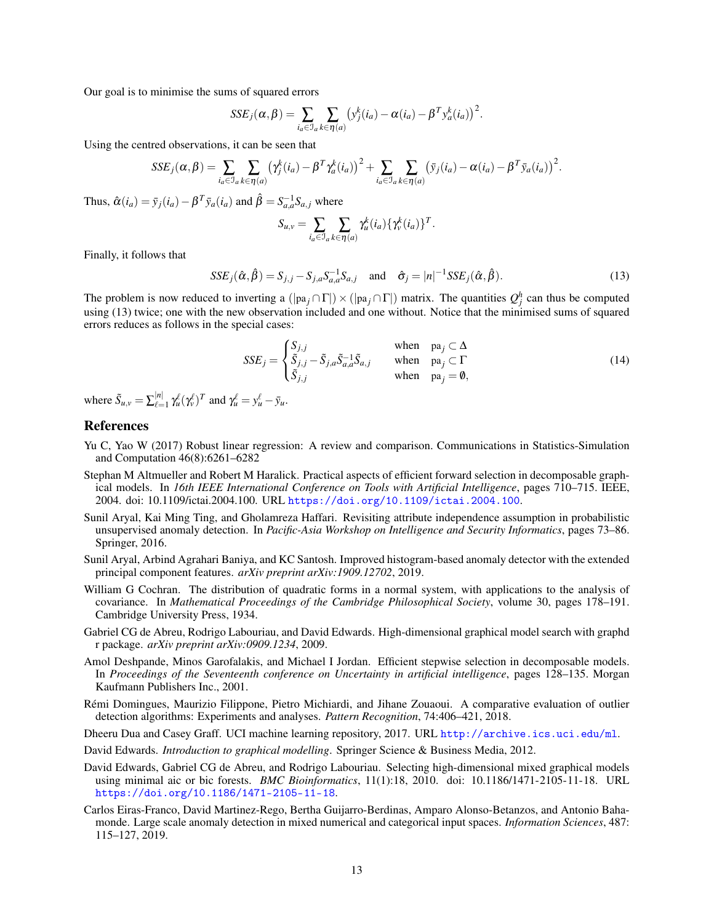Our goal is to minimise the sums of squared errors

$$
SSE_j(\alpha, \beta) = \sum_{i_a \in \mathcal{I}_a} \sum_{k \in \eta(a)} \left( y_j^k(i_a) - \alpha(i_a) - \beta^T y_a^k(i_a) \right)^2.
$$

Using the centred observations, it can be seen that

$$
SSE_j(\alpha, \beta) = \sum_{i_a \in \mathcal{I}_a} \sum_{k \in \eta(a)} (\gamma_j^k(i_a) - \beta^T \gamma_a^k(i_a))^2 + \sum_{i_a \in \mathcal{I}_a} \sum_{k \in \eta(a)} (\bar{y}_j(i_a) - \alpha(i_a) - \beta^T \bar{y}_a(i_a))^2.
$$

Thus,  $\hat{\alpha}(i_a) = \bar{y}_j(i_a) - \beta^T \bar{y}_a(i_a)$  and  $\hat{\beta} = S_{a,a}^{-1} S_{a,j}$  where

<span id="page-12-12"></span>
$$
S_{u,v} = \sum_{i_a \in \mathcal{I}_a} \sum_{k \in \eta(a)} \gamma_u^k(i_a) \{ \gamma_v^k(i_a) \}^T.
$$

Finally, it follows that

$$
SSE_j(\hat{\alpha}, \hat{\beta}) = S_{j,j} - S_{j,a} S_{a,a}^{-1} S_{a,j} \quad \text{and} \quad \hat{\sigma}_j = |n|^{-1} SSE_j(\hat{\alpha}, \hat{\beta}). \tag{13}
$$

The problem is now reduced to inverting a  $(|pa_j \cap \Gamma|) \times (|pa_j \cap \Gamma|)$  matrix. The quantities  $Q_j^h$  can thus be computed using [\(13\)](#page-12-12) twice; one with the new observation included and one without. Notice that the minimised sums of squared errors reduces as follows in the special cases:

$$
SSE_j = \begin{cases} S_{j,j} & \text{when } pa_j \subset \Delta \\ \tilde{S}_{j,j} - \tilde{S}_{j,a} \tilde{S}_{a,a}^{-1} \tilde{S}_{a,j} & \text{when } pa_j \subset \Gamma \\ \tilde{S}_{j,j} & \text{when } pa_j = \emptyset, \end{cases}
$$
 (14)

where  $\tilde{S}_{u,v} = \sum_{\ell=1}^{|n|}$  $\gamma_{\mu}^{[n]}$   $\gamma_{\mu}^{\ell} (\gamma_{\nu}^{\ell})^T$  and  $\gamma_{\mu}^{\ell} = y_{\mu}^{\ell} - \bar{y}_{\mu}$ .

## References

- <span id="page-12-11"></span>Yu C, Yao W (2017) Robust linear regression: A review and comparison. Communications in Statistics-Simulation and Computation 46(8):6261–6282
- <span id="page-12-9"></span>Stephan M Altmueller and Robert M Haralick. Practical aspects of efficient forward selection in decomposable graphical models. In *16th IEEE International Conference on Tools with Artificial Intelligence*, pages 710–715. IEEE, 2004. doi: 10.1109/ictai.2004.100. URL <https://doi.org/10.1109/ictai.2004.100>.
- <span id="page-12-1"></span>Sunil Aryal, Kai Ming Ting, and Gholamreza Haffari. Revisiting attribute independence assumption in probabilistic unsupervised anomaly detection. In *Pacific-Asia Workshop on Intelligence and Security Informatics*, pages 73–86. Springer, 2016.
- <span id="page-12-2"></span>Sunil Aryal, Arbind Agrahari Baniya, and KC Santosh. Improved histogram-based anomaly detector with the extended principal component features. *arXiv preprint arXiv:1909.12702*, 2019.
- <span id="page-12-5"></span>William G Cochran. The distribution of quadratic forms in a normal system, with applications to the analysis of covariance. In *Mathematical Proceedings of the Cambridge Philosophical Society*, volume 30, pages 178–191. Cambridge University Press, 1934.
- <span id="page-12-7"></span>Gabriel CG de Abreu, Rodrigo Labouriau, and David Edwards. High-dimensional graphical model search with graphd r package. *arXiv preprint arXiv:0909.1234*, 2009.
- <span id="page-12-8"></span>Amol Deshpande, Minos Garofalakis, and Michael I Jordan. Efficient stepwise selection in decomposable models. In *Proceedings of the Seventeenth conference on Uncertainty in artificial intelligence*, pages 128–135. Morgan Kaufmann Publishers Inc., 2001.
- <span id="page-12-3"></span>Rémi Domingues, Maurizio Filippone, Pietro Michiardi, and Jihane Zouaoui. A comparative evaluation of outlier detection algorithms: Experiments and analyses. *Pattern Recognition*, 74:406–421, 2018.
- <span id="page-12-6"></span>Dheeru Dua and Casey Graff. UCI machine learning repository, 2017. URL <http://archive.ics.uci.edu/ml>.
- <span id="page-12-4"></span>David Edwards. *Introduction to graphical modelling*. Springer Science & Business Media, 2012.
- <span id="page-12-10"></span>David Edwards, Gabriel CG de Abreu, and Rodrigo Labouriau. Selecting high-dimensional mixed graphical models using minimal aic or bic forests. *BMC Bioinformatics*, 11(1):18, 2010. doi: 10.1186/1471-2105-11-18. URL <https://doi.org/10.1186/1471-2105-11-18>.
- <span id="page-12-0"></span>Carlos Eiras-Franco, David Martinez-Rego, Bertha Guijarro-Berdinas, Amparo Alonso-Betanzos, and Antonio Bahamonde. Large scale anomaly detection in mixed numerical and categorical input spaces. *Information Sciences*, 487: 115–127, 2019.